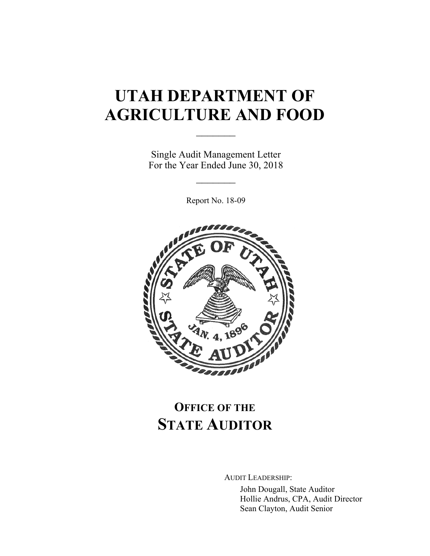# **UTAH DEPARTMENT OF AGRICULTURE AND FOOD**

Single Audit Management Letter For the Year Ended June 30, 2018

 $\frac{1}{2}$ 

 $\mathcal{L}_\text{max}$ 

Report No. 18-09



# **OFFICE OF THE STATE AUDITOR**

AUDIT LEADERSHIP:

John Dougall, State Auditor Hollie Andrus, CPA, Audit Director Sean Clayton, Audit Senior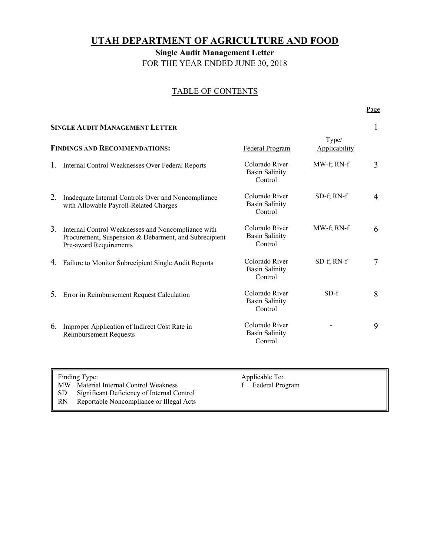## **UTAH DEPARTMENT OF AGRICULTURE AND FOOD**

**Single Audit Management Letter**  FOR THE YEAR ENDED JUNE 30, 2018

### TABLE OF CONTENTS

### Page **Page**

| <b>SINGLE AUDIT MANAGEMENT LETTER</b> |                                                                                                                                       |                                                    |                        |   |  |
|---------------------------------------|---------------------------------------------------------------------------------------------------------------------------------------|----------------------------------------------------|------------------------|---|--|
|                                       | <b>FINDINGS AND RECOMMENDATIONS:</b>                                                                                                  | Federal Program                                    | Type/<br>Applicability |   |  |
| 1.                                    | Internal Control Weaknesses Over Federal Reports                                                                                      | Colorado River<br><b>Basin Salinity</b><br>Control | MW-f; RN-f             | 3 |  |
| 2.                                    | Inadequate Internal Controls Over and Noncompliance<br>with Allowable Payroll-Related Charges                                         | Colorado River<br><b>Basin Salinity</b><br>Control | SD-f; RN-f             | 4 |  |
| 3.                                    | Internal Control Weaknesses and Noncompliance with<br>Procurement, Suspension & Debarment, and Subrecipient<br>Pre-award Requirements | Colorado River<br><b>Basin Salinity</b><br>Control | MW-f; RN-f             | 6 |  |
| 4.                                    | Failure to Monitor Subrecipient Single Audit Reports                                                                                  | Colorado River<br><b>Basin Salinity</b><br>Control | SD-f; RN-f             | 7 |  |
|                                       | 5. Error in Reimbursement Request Calculation                                                                                         | Colorado River<br><b>Basin Salinity</b><br>Control | $SD-f$                 | 8 |  |
| 6.                                    | Improper Application of Indirect Cost Rate in<br><b>Reimbursement Requests</b>                                                        | Colorado River<br><b>Basin Salinity</b><br>Control |                        | 9 |  |
|                                       |                                                                                                                                       |                                                    |                        |   |  |

| II             | <b>Finding Type:</b>                          | Applicable To:  |  |
|----------------|-----------------------------------------------|-----------------|--|
|                | MW Material Internal Control Weakness         | Federal Program |  |
|                | SD Significant Deficiency of Internal Control |                 |  |
| $\parallel$ RN | Reportable Noncompliance or Illegal Acts      |                 |  |
|                |                                               |                 |  |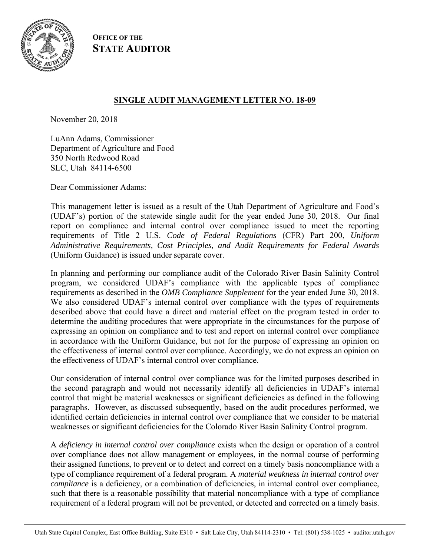

**OFFICE OF THE STATE AUDITOR**

## **SINGLE AUDIT MANAGEMENT LETTER NO. 18-09**

November 20, 2018

LuAnn Adams, Commissioner Department of Agriculture and Food 350 North Redwood Road SLC, Utah 84114-6500

Dear Commissioner Adams:

This management letter is issued as a result of the Utah Department of Agriculture and Food's (UDAF's) portion of the statewide single audit for the year ended June 30, 2018. Our final report on compliance and internal control over compliance issued to meet the reporting requirements of Title 2 U.S. *Code of Federal Regulations* (CFR) Part 200, *Uniform Administrative Requirements, Cost Principles, and Audit Requirements for Federal Awards* (Uniform Guidance) is issued under separate cover.

In planning and performing our compliance audit of the Colorado River Basin Salinity Control program, we considered UDAF's compliance with the applicable types of compliance requirements as described in the *OMB Compliance Supplement* for the year ended June 30, 2018. We also considered UDAF's internal control over compliance with the types of requirements described above that could have a direct and material effect on the program tested in order to determine the auditing procedures that were appropriate in the circumstances for the purpose of expressing an opinion on compliance and to test and report on internal control over compliance in accordance with the Uniform Guidance, but not for the purpose of expressing an opinion on the effectiveness of internal control over compliance. Accordingly, we do not express an opinion on the effectiveness of UDAF's internal control over compliance.

Our consideration of internal control over compliance was for the limited purposes described in the second paragraph and would not necessarily identify all deficiencies in UDAF's internal control that might be material weaknesses or significant deficiencies as defined in the following paragraphs. However, as discussed subsequently, based on the audit procedures performed, we identified certain deficiencies in internal control over compliance that we consider to be material weaknesses or significant deficiencies for the Colorado River Basin Salinity Control program.

A *deficiency in internal control over compliance* exists when the design or operation of a control over compliance does not allow management or employees, in the normal course of performing their assigned functions, to prevent or to detect and correct on a timely basis noncompliance with a type of compliance requirement of a federal program. A *material weakness in internal control over compliance* is a deficiency, or a combination of deficiencies, in internal control over compliance, such that there is a reasonable possibility that material noncompliance with a type of compliance requirement of a federal program will not be prevented, or detected and corrected on a timely basis.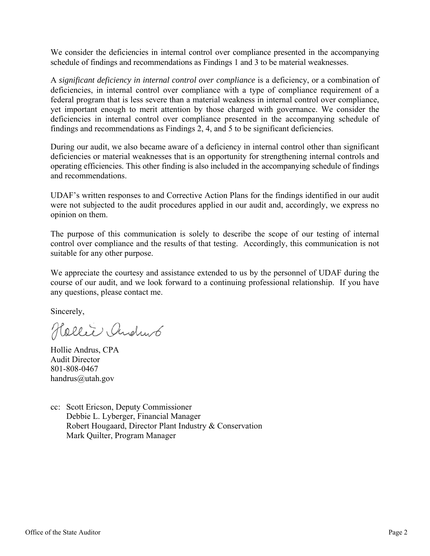We consider the deficiencies in internal control over compliance presented in the accompanying schedule of findings and recommendations as Findings 1 and 3 to be material weaknesses.

A *significant deficiency in internal control over compliance* is a deficiency, or a combination of deficiencies, in internal control over compliance with a type of compliance requirement of a federal program that is less severe than a material weakness in internal control over compliance, yet important enough to merit attention by those charged with governance. We consider the deficiencies in internal control over compliance presented in the accompanying schedule of findings and recommendations as Findings 2, 4, and 5 to be significant deficiencies.

During our audit, we also became aware of a deficiency in internal control other than significant deficiencies or material weaknesses that is an opportunity for strengthening internal controls and operating efficiencies. This other finding is also included in the accompanying schedule of findings and recommendations.

UDAF's written responses to and Corrective Action Plans for the findings identified in our audit were not subjected to the audit procedures applied in our audit and, accordingly, we express no opinion on them.

The purpose of this communication is solely to describe the scope of our testing of internal control over compliance and the results of that testing. Accordingly, this communication is not suitable for any other purpose.

We appreciate the courtesy and assistance extended to us by the personnel of UDAF during the course of our audit, and we look forward to a continuing professional relationship. If you have any questions, please contact me.

Sincerely,

Hollie Andrub

Hollie Andrus, CPA Audit Director 801-808-0467 handrus@utah.gov

cc: Scott Ericson, Deputy Commissioner Debbie L. Lyberger, Financial Manager Robert Hougaard, Director Plant Industry & Conservation Mark Quilter, Program Manager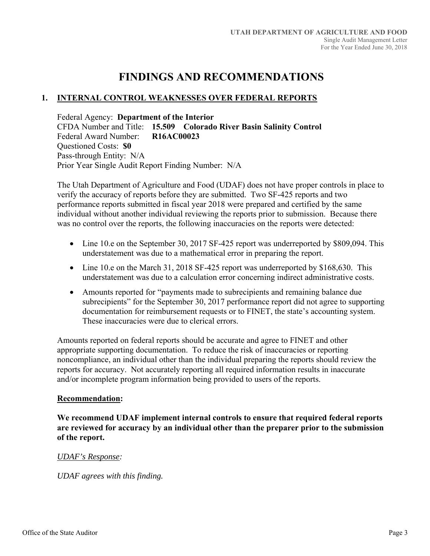## **FINDINGS AND RECOMMENDATIONS**

## **1. INTERNAL CONTROL WEAKNESSES OVER FEDERAL REPORTS**

Federal Agency: **Department of the Interior**  CFDA Number and Title: **15.509 Colorado River Basin Salinity Control**  Federal Award Number: **R16AC00023**  Questioned Costs: **\$0** Pass-through Entity: N/A Prior Year Single Audit Report Finding Number: N/A

The Utah Department of Agriculture and Food (UDAF) does not have proper controls in place to verify the accuracy of reports before they are submitted. Two SF-425 reports and two performance reports submitted in fiscal year 2018 were prepared and certified by the same individual without another individual reviewing the reports prior to submission. Because there was no control over the reports, the following inaccuracies on the reports were detected:

- Line 10.e on the September 30, 2017 SF-425 report was underreported by \$809,094. This understatement was due to a mathematical error in preparing the report.
- Line 10.e on the March 31, 2018 SF-425 report was underreported by \$168,630. This understatement was due to a calculation error concerning indirect administrative costs.
- Amounts reported for "payments made to subrecipients and remaining balance due subrecipients" for the September 30, 2017 performance report did not agree to supporting documentation for reimbursement requests or to FINET, the state's accounting system. These inaccuracies were due to clerical errors.

Amounts reported on federal reports should be accurate and agree to FINET and other appropriate supporting documentation. To reduce the risk of inaccuracies or reporting noncompliance, an individual other than the individual preparing the reports should review the reports for accuracy. Not accurately reporting all required information results in inaccurate and/or incomplete program information being provided to users of the reports.

#### **Recommendation:**

**We recommend UDAF implement internal controls to ensure that required federal reports are reviewed for accuracy by an individual other than the preparer prior to the submission of the report.** 

#### *UDAF's Response:*

*UDAF agrees with this finding.*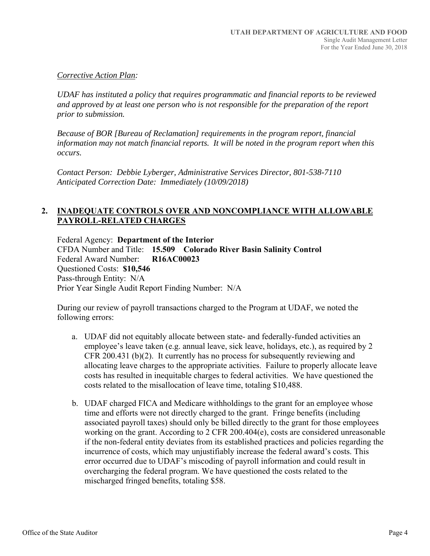## *Corrective Action Plan:*

*UDAF has instituted a policy that requires programmatic and financial reports to be reviewed and approved by at least one person who is not responsible for the preparation of the report prior to submission.* 

*Because of BOR [Bureau of Reclamation] requirements in the program report, financial information may not match financial reports. It will be noted in the program report when this occurs.* 

*Contact Person: Debbie Lyberger, Administrative Services Director, 801-538-7110 Anticipated Correction Date: Immediately (10/09/2018)* 

## **2. INADEQUATE CONTROLS OVER AND NONCOMPLIANCE WITH ALLOWABLE PAYROLL-RELATED CHARGES**

Federal Agency: **Department of the Interior**  CFDA Number and Title: **15.509 Colorado River Basin Salinity Control**  Federal Award Number: **R16AC00023**  Questioned Costs: **\$10,546** Pass-through Entity: N/A Prior Year Single Audit Report Finding Number: N/A

During our review of payroll transactions charged to the Program at UDAF, we noted the following errors:

- a. UDAF did not equitably allocate between state- and federally-funded activities an employee's leave taken (e.g. annual leave, sick leave, holidays, etc.), as required by 2 CFR 200.431 (b)(2). It currently has no process for subsequently reviewing and allocating leave charges to the appropriate activities. Failure to properly allocate leave costs has resulted in inequitable charges to federal activities. We have questioned the costs related to the misallocation of leave time, totaling \$10,488.
- b. UDAF charged FICA and Medicare withholdings to the grant for an employee whose time and efforts were not directly charged to the grant. Fringe benefits (including associated payroll taxes) should only be billed directly to the grant for those employees working on the grant. According to 2 CFR 200.404(e), costs are considered unreasonable if the non-federal entity deviates from its established practices and policies regarding the incurrence of costs, which may unjustifiably increase the federal award's costs. This error occurred due to UDAF's miscoding of payroll information and could result in overcharging the federal program. We have questioned the costs related to the mischarged fringed benefits, totaling \$58.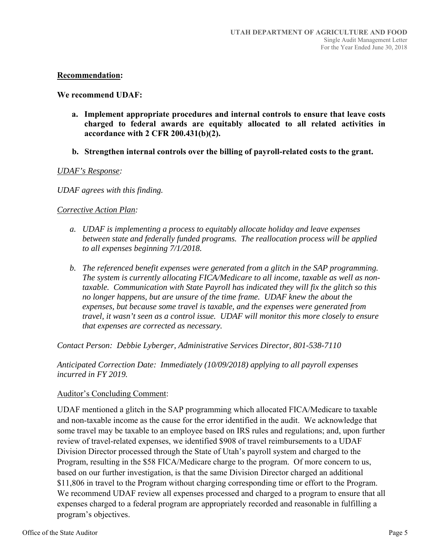### **Recommendation:**

#### **We recommend UDAF:**

- **a. Implement appropriate procedures and internal controls to ensure that leave costs charged to federal awards are equitably allocated to all related activities in accordance with 2 CFR 200.431(b)(2).**
- **b. Strengthen internal controls over the billing of payroll-related costs to the grant.**

#### *UDAF's Response:*

*UDAF agrees with this finding.* 

### *Corrective Action Plan:*

- *a. UDAF is implementing a process to equitably allocate holiday and leave expenses between state and federally funded programs. The reallocation process will be applied to all expenses beginning 7/1/2018.*
- *b. The referenced benefit expenses were generated from a glitch in the SAP programming. The system is currently allocating FICA/Medicare to all income, taxable as well as nontaxable. Communication with State Payroll has indicated they will fix the glitch so this no longer happens, but are unsure of the time frame. UDAF knew the about the expenses, but because some travel is taxable, and the expenses were generated from travel, it wasn't seen as a control issue. UDAF will monitor this more closely to ensure that expenses are corrected as necessary.*

*Contact Person: Debbie Lyberger, Administrative Services Director, 801-538-7110*

*Anticipated Correction Date: Immediately (10/09/2018) applying to all payroll expenses incurred in FY 2019.* 

#### Auditor's Concluding Comment:

UDAF mentioned a glitch in the SAP programming which allocated FICA/Medicare to taxable and non-taxable income as the cause for the error identified in the audit. We acknowledge that some travel may be taxable to an employee based on IRS rules and regulations; and, upon further review of travel-related expenses, we identified \$908 of travel reimbursements to a UDAF Division Director processed through the State of Utah's payroll system and charged to the Program, resulting in the \$58 FICA/Medicare charge to the program. Of more concern to us, based on our further investigation, is that the same Division Director charged an additional \$11,806 in travel to the Program without charging corresponding time or effort to the Program. We recommend UDAF review all expenses processed and charged to a program to ensure that all expenses charged to a federal program are appropriately recorded and reasonable in fulfilling a program's objectives.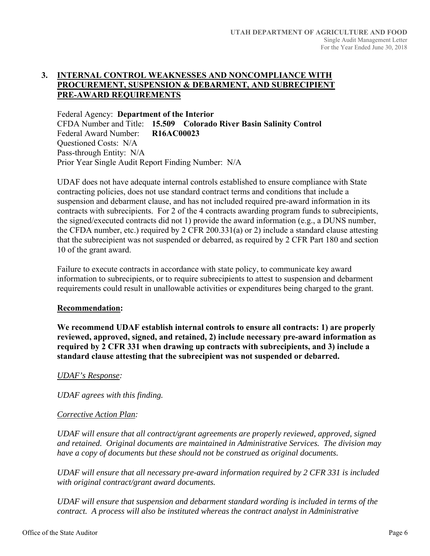## **3. INTERNAL CONTROL WEAKNESSES AND NONCOMPLIANCE WITH PROCUREMENT, SUSPENSION & DEBARMENT, AND SUBRECIPIENT PRE-AWARD REQUIREMENTS**

Federal Agency: **Department of the Interior**  CFDA Number and Title: **15.509 Colorado River Basin Salinity Control**  Federal Award Number: **R16AC00023**  Questioned Costs: N/A Pass-through Entity: N/A Prior Year Single Audit Report Finding Number: N/A

UDAF does not have adequate internal controls established to ensure compliance with State contracting policies, does not use standard contract terms and conditions that include a suspension and debarment clause, and has not included required pre-award information in its contracts with subrecipients. For 2 of the 4 contracts awarding program funds to subrecipients, the signed/executed contracts did not 1) provide the award information (e.g., a DUNS number, the CFDA number, etc.) required by 2 CFR 200.331(a) or 2) include a standard clause attesting that the subrecipient was not suspended or debarred, as required by 2 CFR Part 180 and section 10 of the grant award.

Failure to execute contracts in accordance with state policy, to communicate key award information to subrecipients, or to require subrecipients to attest to suspension and debarment requirements could result in unallowable activities or expenditures being charged to the grant.

#### **Recommendation:**

**We recommend UDAF establish internal controls to ensure all contracts: 1) are properly reviewed, approved, signed, and retained, 2) include necessary pre-award information as required by 2 CFR 331 when drawing up contracts with subrecipients, and 3) include a standard clause attesting that the subrecipient was not suspended or debarred.** 

## *UDAF's Response:*

*UDAF agrees with this finding.* 

## *Corrective Action Plan:*

*UDAF will ensure that all contract/grant agreements are properly reviewed, approved, signed and retained. Original documents are maintained in Administrative Services. The division may have a copy of documents but these should not be construed as original documents.* 

*UDAF will ensure that all necessary pre-award information required by 2 CFR 331 is included with original contract/grant award documents.* 

*UDAF will ensure that suspension and debarment standard wording is included in terms of the contract. A process will also be instituted whereas the contract analyst in Administrative*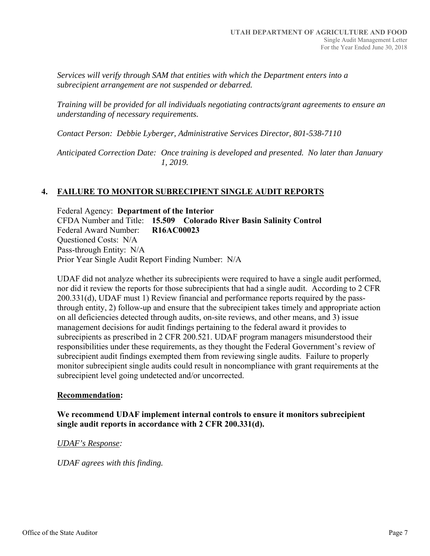*Services will verify through SAM that entities with which the Department enters into a subrecipient arrangement are not suspended or debarred.* 

*Training will be provided for all individuals negotiating contracts/grant agreements to ensure an understanding of necessary requirements.* 

*Contact Person: Debbie Lyberger, Administrative Services Director, 801-538-7110* 

*Anticipated Correction Date: Once training is developed and presented. No later than January 1, 2019.* 

## **4. FAILURE TO MONITOR SUBRECIPIENT SINGLE AUDIT REPORTS**

Federal Agency: **Department of the Interior**  CFDA Number and Title: **15.509 Colorado River Basin Salinity Control**  Federal Award Number: **R16AC00023**  Questioned Costs: N/A Pass-through Entity: N/A Prior Year Single Audit Report Finding Number: N/A

UDAF did not analyze whether its subrecipients were required to have a single audit performed, nor did it review the reports for those subrecipients that had a single audit. According to 2 CFR 200.331(d), UDAF must 1) Review financial and performance reports required by the passthrough entity, 2) follow-up and ensure that the subrecipient takes timely and appropriate action on all deficiencies detected through audits, on-site reviews, and other means, and 3) issue management decisions for audit findings pertaining to the federal award it provides to subrecipients as prescribed in 2 CFR 200.521. UDAF program managers misunderstood their responsibilities under these requirements, as they thought the Federal Government's review of subrecipient audit findings exempted them from reviewing single audits. Failure to properly monitor subrecipient single audits could result in noncompliance with grant requirements at the subrecipient level going undetected and/or uncorrected.

## **Recommendation:**

## **We recommend UDAF implement internal controls to ensure it monitors subrecipient single audit reports in accordance with 2 CFR 200.331(d).**

## *UDAF's Response:*

*UDAF agrees with this finding.*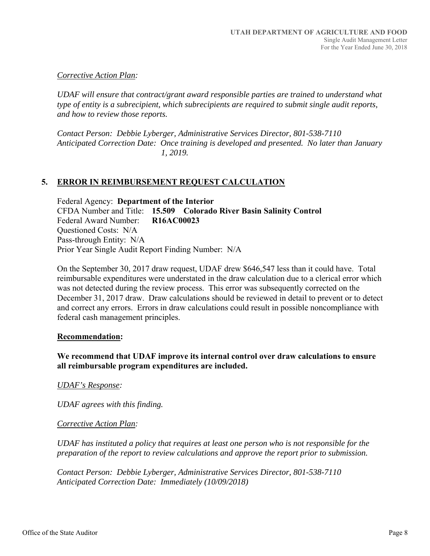## *Corrective Action Plan:*

*UDAF will ensure that contract/grant award responsible parties are trained to understand what type of entity is a subrecipient, which subrecipients are required to submit single audit reports, and how to review those reports.* 

*Contact Person: Debbie Lyberger, Administrative Services Director, 801-538-7110 Anticipated Correction Date: Once training is developed and presented. No later than January 1, 2019.*

## **5. ERROR IN REIMBURSEMENT REQUEST CALCULATION**

Federal Agency: **Department of the Interior**  CFDA Number and Title: **15.509 Colorado River Basin Salinity Control**  Federal Award Number: **R16AC00023**  Questioned Costs: N/A Pass-through Entity: N/A Prior Year Single Audit Report Finding Number: N/A

On the September 30, 2017 draw request, UDAF drew \$646,547 less than it could have. Total reimbursable expenditures were understated in the draw calculation due to a clerical error which was not detected during the review process. This error was subsequently corrected on the December 31, 2017 draw. Draw calculations should be reviewed in detail to prevent or to detect and correct any errors. Errors in draw calculations could result in possible noncompliance with federal cash management principles.

#### **Recommendation:**

**We recommend that UDAF improve its internal control over draw calculations to ensure all reimbursable program expenditures are included.** 

*UDAF's Response:* 

*UDAF agrees with this finding.* 

#### *Corrective Action Plan:*

*UDAF has instituted a policy that requires at least one person who is not responsible for the preparation of the report to review calculations and approve the report prior to submission.* 

*Contact Person: Debbie Lyberger, Administrative Services Director, 801-538-7110 Anticipated Correction Date: Immediately (10/09/2018)*